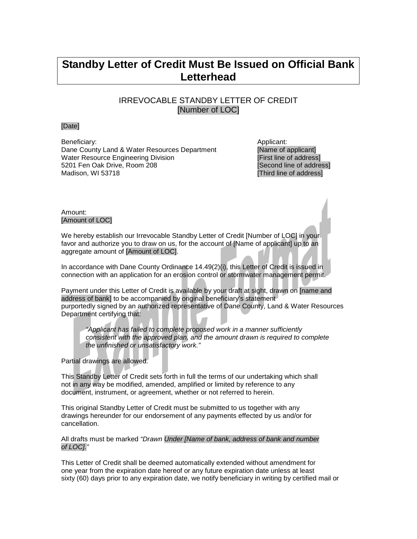## **Standby Letter of Credit Must Be Issued on Official Bank Letterhead**

## IRREVOCABLE STANDBY LETTER OF CREDIT [Number of LOC]

## [Date]

Beneficiary: Applicant: Applicant: Applicant: Applicant: Applicant: Applicant: Applicant: Applicant: Applicant: Applicant: Applicant: Applicant: Applicant: Applicant: Applicant: Applicant: Applicant: Applicant: Applicant: Dane County Land & Water Resources Department [Name of applicant]<br>
Water Resource Engineering Division [First line of address] Water Resource Engineering Division<br>
5201 Fen Oak Drive, Room 208 and Engine to the Second line of address 5201 Fen Oak Drive, Room 208 Madison, WI 53718 **and Struck and Struck and Struck and Struck** [Third line of address]

Amount: [Amount of LOC]

We hereby establish our Irrevocable Standby Letter of Credit [Number of LOC] in your. favor and authorize you to draw on us, for the account of [Name of applicant] up to an aggregate amount of [Amount of LOC].

In accordance with Dane County Ordinance 14.49(2)(i), this Letter of Credit is issued in connection with an application for an erosion control or stormwater management permit.

Payment under this Letter of Credit is available by your draft at sight, drawn on [name and address of bank] to be accompanied by original beneficiary's statement purportedly signed by an authorized representative of Dane County, Land & Water Resources Department certifying that:

*"Applicant has failed to complete proposed work in a manner sufficiently consistent with the approved plan, and the amount drawn is required to complete the unfinished or unsatisfactory work."*

Partial drawings are allowed.

This Standby Letter of Credit sets forth in full the terms of our undertaking which shall not in any way be modified, amended, amplified or limited by reference to any document, instrument, or agreement, whether or not referred to herein.

This original Standby Letter of Credit must be submitted to us together with any drawings hereunder for our endorsement of any payments effected by us and/or for cancellation.

All drafts must be marked *"Drawn Under [Name of bank, address of bank and number of LOC]."*

This Letter of Credit shall be deemed automatically extended without amendment for one year from the expiration date hereof or any future expiration date unless at least sixty (60) days prior to any expiration date, we notify beneficiary in writing by certified mail or